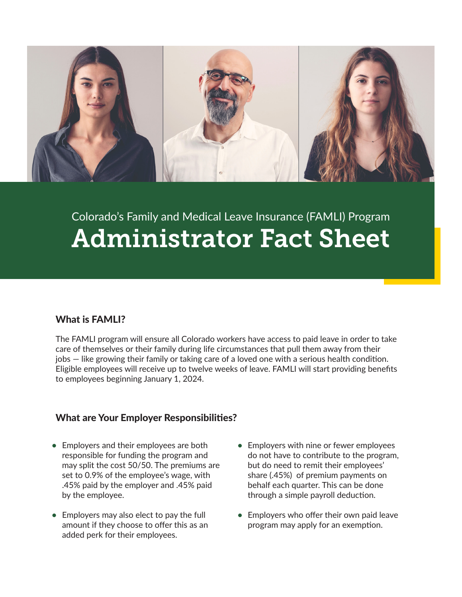

## Colorado's Family and Medical Leave Insurance (FAMLI) Program Administrator Fact Sheet

## What is FAMLI?

The FAMLI program will ensure all Colorado workers have access to paid leave in order to take care of themselves or their family during life circumstances that pull them away from their jobs — like growing their family or taking care of a loved one with a serious health condition. Eligible employees will receive up to twelve weeks of leave. FAMLI will start providing benefits to employees beginning January 1, 2024.

## What are Your Employer Responsibilities?

- **•** Employers and their employees are both responsible for funding the program and may split the cost 50/50. The premiums are set to 0.9% of the employee's wage, with .45% paid by the employer and .45% paid by the employee.
- **•** Employers may also elect to pay the full amount if they choose to offer this as an added perk for their employees.
- **•** Employers with nine or fewer employees do not have to contribute to the program, but do need to remit their employees' share (.45%) of premium payments on behalf each quarter. This can be done through a simple payroll deduction.
- **•** Employers who offer their own paid leave program may apply for an exemption.